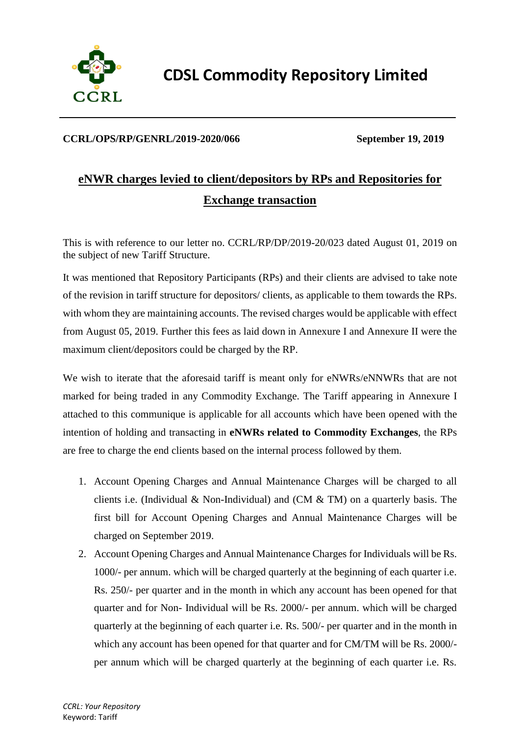

**CDSL Commodity Repository Limited**

#### **CCRL/OPS/RP/GENRL/2019-2020/066 September 19, 2019**

# **eNWR charges levied to client/depositors by RPs and Repositories for Exchange transaction**

This is with reference to our letter no. CCRL/RP/DP/2019-20/023 dated August 01, 2019 on the subject of new Tariff Structure.

It was mentioned that Repository Participants (RPs) and their clients are advised to take note of the revision in tariff structure for depositors/ clients, as applicable to them towards the RPs. with whom they are maintaining accounts. The revised charges would be applicable with effect from August 05, 2019. Further this fees as laid down in Annexure I and Annexure II were the maximum client/depositors could be charged by the RP.

We wish to iterate that the aforesaid tariff is meant only for eNWRs/eNNWRs that are not marked for being traded in any Commodity Exchange. The Tariff appearing in Annexure I attached to this communique is applicable for all accounts which have been opened with the intention of holding and transacting in **eNWRs related to Commodity Exchanges**, the RPs are free to charge the end clients based on the internal process followed by them.

- 1. Account Opening Charges and Annual Maintenance Charges will be charged to all clients i.e. (Individual & Non-Individual) and (CM & TM) on a quarterly basis. The first bill for Account Opening Charges and Annual Maintenance Charges will be charged on September 2019.
- 2. Account Opening Charges and Annual Maintenance Charges for Individuals will be Rs. 1000/- per annum. which will be charged quarterly at the beginning of each quarter i.e. Rs. 250/- per quarter and in the month in which any account has been opened for that quarter and for Non- Individual will be Rs. 2000/- per annum. which will be charged quarterly at the beginning of each quarter i.e. Rs. 500/- per quarter and in the month in which any account has been opened for that quarter and for CM/TM will be Rs. 2000/ per annum which will be charged quarterly at the beginning of each quarter i.e. Rs.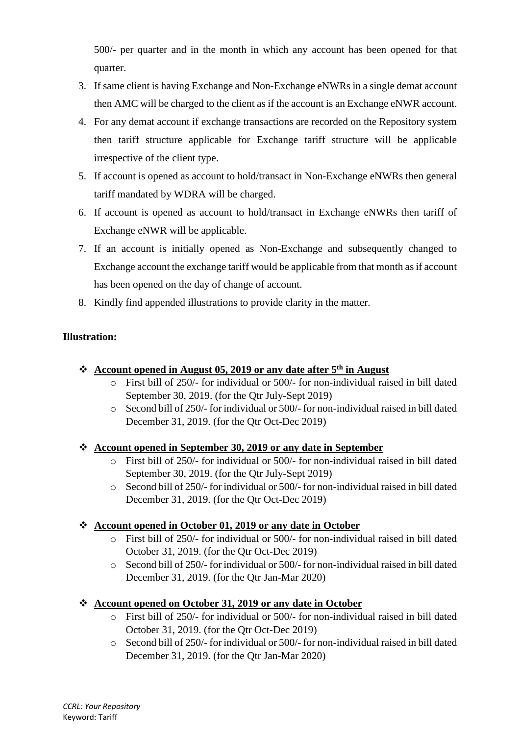500/- per quarter and in the month in which any account has been opened for that quarter.

- 3. If same client is having Exchange and Non-Exchange eNWRs in a single demat account then AMC will be charged to the client as if the account is an Exchange eNWR account.
- 4. For any demat account if exchange transactions are recorded on the Repository system then tariff structure applicable for Exchange tariff structure will be applicable irrespective of the client type.
- 5. If account is opened as account to hold/transact in Non-Exchange eNWRs then general tariff mandated by WDRA will be charged.
- 6. If account is opened as account to hold/transact in Exchange eNWRs then tariff of Exchange eNWR will be applicable.
- 7. If an account is initially opened as Non-Exchange and subsequently changed to Exchange account the exchange tariff would be applicable from that month as if account has been opened on the day of change of account.
- 8. Kindly find appended illustrations to provide clarity in the matter.

## **Illustration:**

### ❖ **Account opened in August 05, 2019 or any date after 5th in August**

- o First bill of 250/- for individual or 500/- for non-individual raised in bill dated September 30, 2019. (for the Qtr July-Sept 2019)
- o Second bill of 250/- for individual or 500/- for non-individual raised in bill dated December 31, 2019. (for the Qtr Oct-Dec 2019)

### ❖ **Account opened in September 30, 2019 or any date in September**

- o First bill of 250/- for individual or 500/- for non-individual raised in bill dated September 30, 2019. (for the Qtr July-Sept 2019)
- o Second bill of 250/- for individual or 500/- for non-individual raised in bill dated December 31, 2019. (for the Qtr Oct-Dec 2019)

### ❖ **Account opened in October 01, 2019 or any date in October**

- o First bill of 250/- for individual or 500/- for non-individual raised in bill dated October 31, 2019. (for the Qtr Oct-Dec 2019)
- o Second bill of 250/- for individual or 500/- for non-individual raised in bill dated December 31, 2019. (for the Qtr Jan-Mar 2020)

### ❖ **Account opened on October 31, 2019 or any date in October**

- o First bill of 250/- for individual or 500/- for non-individual raised in bill dated October 31, 2019. (for the Qtr Oct-Dec 2019)
- o Second bill of 250/- for individual or 500/- for non-individual raised in bill dated December 31, 2019. (for the Qtr Jan-Mar 2020)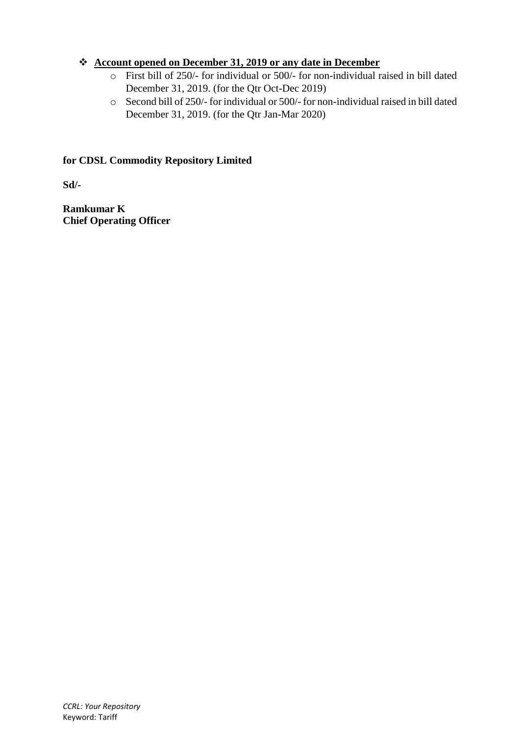### ❖ **Account opened on December 31, 2019 or any date in December**

- o First bill of 250/- for individual or 500/- for non-individual raised in bill dated December 31, 2019. (for the Qtr Oct-Dec 2019)
- o Second bill of 250/- for individual or 500/- for non-individual raised in bill dated December 31, 2019. (for the Qtr Jan-Mar 2020)

#### **for CDSL Commodity Repository Limited**

**Sd/-**

**Ramkumar K Chief Operating Officer**